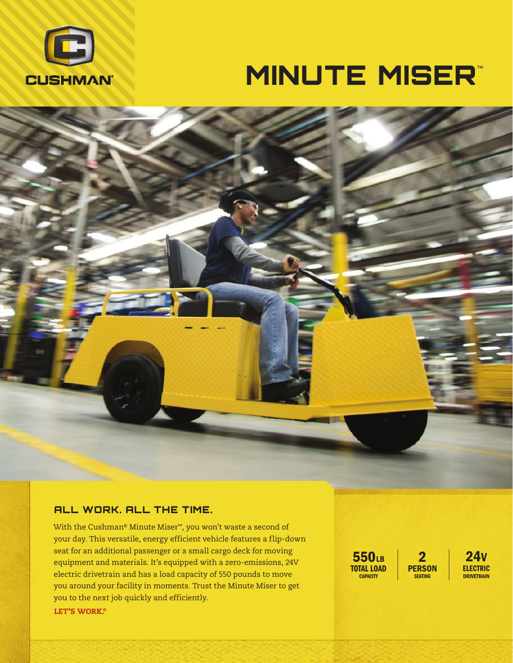

# **MINUTE MISER™**

### ALL WORK. ALL THE TIME.

With the Cushman® Minute Miser™, you won't waste a second of your day. This versatile, energy efficient vehicle features a flip-down seat for an additional passenger or a small cargo deck for moving equipment and materials. It's equipped with a zero-emissions, 24V electric drivetrain and has a load capacity of 550 pounds to move you around your facility in moments. Trust the Minute Miser to get you to the next job quickly and efficiently. LET'S WORK.<sup>®</sup>

550LB TOTAL LOAD **CAPACITY** 

2 **PERSON SEATING** 

24V ELECTRIC **DRIVETRAIN**